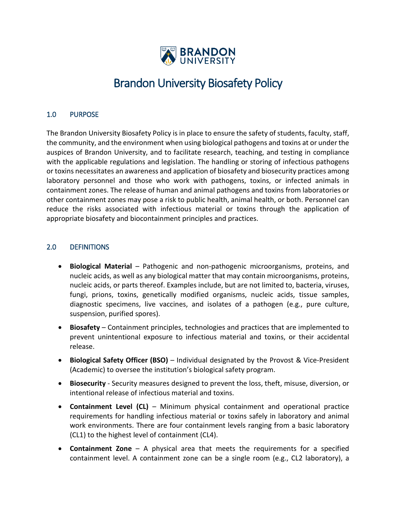

# Brandon University Biosafety Policy

# 1.0 PURPOSE

The Brandon University Biosafety Policy is in place to ensure the safety of students, faculty, staff, the community, and the environment when using biological pathogens and toxins at or under the auspices of Brandon University, and to facilitate research, teaching, and testing in compliance with the applicable regulations and legislation. The handling or storing of infectious pathogens or toxins necessitates an awareness and application of biosafety and biosecurity practices among laboratory personnel and those who work with pathogens, toxins, or infected animals in containment zones. The release of human and animal pathogens and toxins from laboratories or other containment zones may pose a risk to public health, animal health, or both. Personnel can reduce the risks associated with infectious material or toxins through the application of appropriate biosafety and biocontainment principles and practices.

# 2.0 DEFINITIONS

- **Biological Material** Pathogenic and non-pathogenic microorganisms, proteins, and nucleic acids, as well as any biological matter that may contain microorganisms, proteins, nucleic acids, or parts thereof. Examples include, but are not limited to, bacteria, viruses, fungi, prions, toxins, genetically modified organisms, nucleic acids, tissue samples, diagnostic specimens, live vaccines, and isolates of a pathogen (e.g., pure culture, suspension, purified spores).
- **Biosafety** Containment principles, technologies and practices that are implemented to prevent unintentional exposure to infectious material and toxins, or their accidental release.
- **Biological Safety Officer (BSO)** Individual designated by the Provost & Vice-President (Academic) to oversee the institution's biological safety program.
- **Biosecurity** Security measures designed to prevent the loss, theft, misuse, diversion, or intentional release of infectious material and toxins.
- **Containment Level (CL)** Minimum physical containment and operational practice requirements for handling infectious material or toxins safely in laboratory and animal work environments. There are four containment levels ranging from a basic laboratory (CL1) to the highest level of containment (CL4).
- **Containment Zone** A physical area that meets the requirements for a specified containment level. A containment zone can be a single room (e.g., CL2 laboratory), a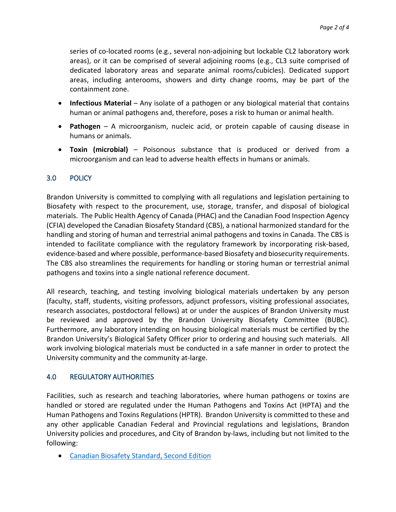series of co-located rooms (e.g., several non-adjoining but lockable CL2 laboratory work areas), or it can be comprised of several adjoining rooms (e.g., CL3 suite comprised of dedicated laboratory areas and separate animal rooms/cubicles). Dedicated support areas, including anterooms, showers and dirty change rooms, may be part of the containment zone.

- **Infectious Material** Any isolate of a pathogen or any biological material that contains human or animal pathogens and, therefore, poses a risk to human or animal health.
- **Pathogen** A microorganism, nucleic acid, or protein capable of causing disease in humans or animals.
- **Toxin (microbial)** Poisonous substance that is produced or derived from a microorganism and can lead to adverse health effects in humans or animals.

# 3.0 POLICY

Brandon University is committed to complying with all regulations and legislation pertaining to Biosafety with respect to the procurement, use, storage, transfer, and disposal of biological materials. The Public Health Agency of Canada (PHAC) and the Canadian Food Inspection Agency (CFIA) developed the Canadian Biosafety Standard (CBS), a national harmonized standard for the handling and storing of human and terrestrial animal pathogens and toxins in Canada. The CBS is intended to facilitate compliance with the regulatory framework by incorporating risk-based, evidence-based and where possible, performance-based Biosafety and biosecurity requirements. The CBS also streamlines the requirements for handling or storing human or terrestrial animal pathogens and toxins into a single national reference document.

All research, teaching, and testing involving biological materials undertaken by any person (faculty, staff, students, visiting professors, adjunct professors, visiting professional associates, research associates, postdoctoral fellows) at or under the auspices of Brandon University must be reviewed and approved by the Brandon University Biosafety Committee (BUBC). Furthermore, any laboratory intending on housing biological materials must be certified by the Brandon University's Biological Safety Officer prior to ordering and housing such materials. All work involving biological materials must be conducted in a safe manner in order to protect the University community and the community at-large.

# 4.0 REGULATORY AUTHORITIES

Facilities, such as research and teaching laboratories, where human pathogens or toxins are handled or stored are regulated under the Human Pathogens and Toxins Act (HPTA) and the Human Pathogens and Toxins Regulations (HPTR). Brandon University is committed to these and any other applicable Canadian Federal and Provincial regulations and legislations, Brandon University policies and procedures, and City of Brandon by-laws, including but not limited to the following:

• [Canadian Biosafety Standard, Second Edition](https://www.canada.ca/en/public-health/services/canadian-biosafety-standards-guidelines/second-edition.html)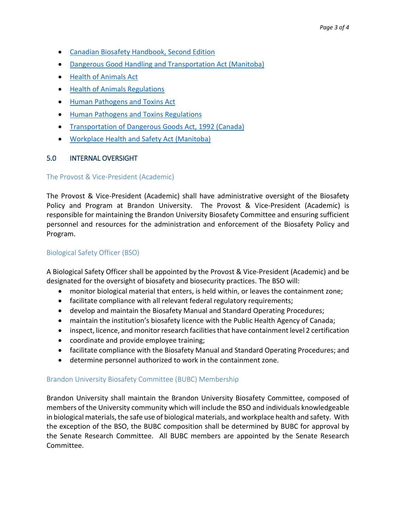- [Canadian Biosafety Handbook, Second Edition](https://www.canada.ca/en/public-health/services/canadian-biosafety-standards-guidelines/handbook-second-edition.html)
- [Dangerous Good Handling and Transportation Act \(Manitoba\)](https://web2.gov.mb.ca/laws/statutes/ccsm/d012e.php)
- [Health of Animals Act](https://laws-lois.justice.gc.ca/eng/regulations/c.r.c.,_c._296/)
- [Health of Animals Regulations](https://lois-laws.justice.gc.ca/eng/regulations/SOR-2015-44/page-1.html)
- [Human Pathogens and Toxins Act](https://lois-laws.justice.gc.ca/eng/acts/H-5.67/FullText.html)
- [Human Pathogens and Toxins Regulations](https://lois-laws.justice.gc.ca/eng/regulations/SOR-2015-44/index.html?wbdisable=false)
- [Transportation of Dangerous Goods Act, 1992 \(Canada\)](https://laws-lois.justice.gc.ca/eng/acts/t-19.01/page-1.html)
- [Workplace Health and Safety Act \(Manitoba\)](https://web2.gov.mb.ca/laws/statutes/ccsm/w210e.php)

## 5.0 INTERNAL OVERSIGHT

#### The Provost & Vice-President (Academic)

The Provost & Vice-President (Academic) shall have administrative oversight of the Biosafety Policy and Program at Brandon University. The Provost & Vice-President (Academic) is responsible for maintaining the Brandon University Biosafety Committee and ensuring sufficient personnel and resources for the administration and enforcement of the Biosafety Policy and Program.

## Biological Safety Officer (BSO)

A Biological Safety Officer shall be appointed by the Provost & Vice-President (Academic) and be designated for the oversight of biosafety and biosecurity practices. The BSO will:

- monitor biological material that enters, is held within, or leaves the containment zone;
- facilitate compliance with all relevant federal regulatory requirements;
- develop and maintain the Biosafety Manual and Standard Operating Procedures;
- maintain the institution's biosafety licence with the Public Health Agency of Canada;
- inspect, licence, and monitor research facilities that have containment level 2 certification
- coordinate and provide employee training;
- facilitate compliance with the Biosafety Manual and Standard Operating Procedures; and
- determine personnel authorized to work in the containment zone.

## Brandon University Biosafety Committee (BUBC) Membership

Brandon University shall maintain the Brandon University Biosafety Committee, composed of members of the University community which will include the BSO and individuals knowledgeable in biological materials, the safe use of biological materials, and workplace health and safety. With the exception of the BSO, the BUBC composition shall be determined by BUBC for approval by the Senate Research Committee. All BUBC members are appointed by the Senate Research Committee.